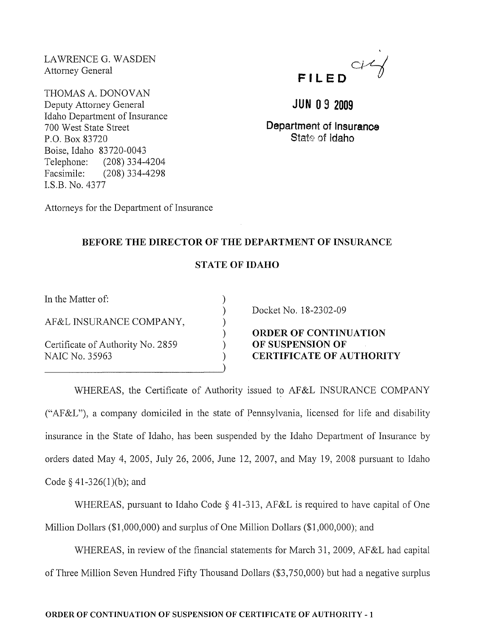LAWRENCE G. WASDEN Attorney General

THOMAS A. DONOVAN Deputy Attorney General Idaho Department of Insurance 700 West State Street P.O. Box 83720 Boise, Idaho 83720-0043 Telephone: (208) 334-4204 Facsimile: (208) 334-4298 I.S.B. No. 4377

Attorneys for the Department of Insurance



# **JUN 09 2009**

**Department of Insurance**  State of *Idaho* 

### **BEFORE THE DIRECTOR OF THE DEPARTMENT OF INSURANCE**

## **STATE OF IDAHO**

) ) ) ) ) ) )

In the Matter of:

AF &L INSURANCE COMPANY,

Certificate of Authority No. 2859 NAIC No. 35963

Docket No. 18-2302-09

**ORDER OF CONTINUATION OF SUSPENSION OF CERTIFICATE OF AUTHORITY** 

WHEREAS, the Certificate of Authority issued to AF&L INSURANCE COMPANY ("AF&L"), a company domiciled in the state of Pennsylvania, licensed for life and disability insurance in the State of Idaho, has been suspended by the Idaho Department of Insurance by orders dated May 4, 2005, July 26,2006, June 12,2007, and May 19, 2008 pursuant to Idaho Code  $\S$  41-326(1)(b); and

WHEREAS, pursuant to Idaho Code  $\S$  41-313, AF&L is required to have capital of One Million Dollars (\$1,000,000) and surplus of One Million Dollars (\$1,000,000); and

WHEREAS, in review of the financial statements for March 31, 2009, AF&L had capital of Three Million Seven Hundred Fifty Thousand Dollars (\$3,750,000) but had a negative surplus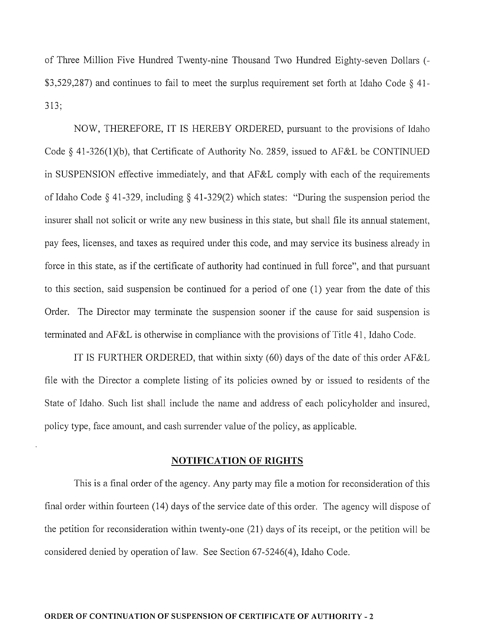of Three Million Five Hundred Twenty-nine Thousand Two Hundred Eighty-seven Dollars (- \$3,529,287) and continues to fail to meet the surplus requirement set forth at Idaho Code  $\S$  41-313;

NOW, THEREFORE, IT IS HEREBY ORDERED, pursuant to the provisions of Idaho Code § 41-326(1)(b), that Certificate of Authority No. 2859, issued to AF&L be CONTINUED in SUSPENSION effective inunediately, and that AF&L comply with each of the requirements of Idaho Code § 41-329, including § 41-329(2) which states: "During the suspension period the insurer shall not solicit or write any new business in this state, but shall file its ammal statement, pay fees, licenses, and taxes as required under this code, and may service its business already in force in this state, as if the certificate of authority had continued in full force", and that pursuant to this section, said suspension be continued for a period of one  $(1)$  year from the date of this Order. The Director may terminate the suspension sooner if the cause for said suspension is terminated and AF &L is otherwise in compliance with the provisions of Title 41, Idaho Code.

IT IS FURTHER ORDERED, that within sixty (60) days of the date of this order AF&L file with the Director a complete listing of its policies owned by or issued to residents of the State of Idaho. Such list shall include the name and address of each policyholder and insured, policy type, face amount, and cash surrender value of the policy, as applicable.

#### **NOTIFICATION OF RIGHTS**

This is a final order of the agency. Any party may file a motion for reconsideration of this final order within fourteen (14) days of the service date of this order. The agency will dispose of the petition for reconsideration within twenty-one (21) days of its receipt, or the petition will be considered denied by operation of law. See Section 67-5246(4), Idaho Code.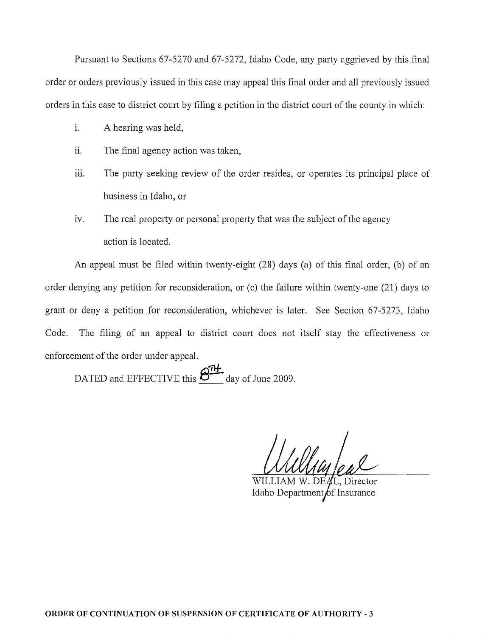Pursuant to Sections 67-5270 and 67-5272, Idaho Code, any party aggrieved by this tinal order or orders previously issued in this case may appeal this final order and all previously issued orders in this case to district court by filing a petition in the district court of the county in which:

- 1. A hearing was held,
- ii. The final agency action was taken,
- iii. The party seeking review of the order resides, or operates its principal place of business in Idaho, or
- iv. The real property or personal property that was the subject of the agency action is located.

An appeal must be filed within twenty-eight (28) days (a) of this final order, (b) of an order denying any petition for reconsideration, or (c) the failure within twenty-one (21) days to grant or deny a petition for reconsideration, whichever is later. See Section 67-5273, Idaho Code. The filing of an appeal to district court does not itself stay the effectiveness or enforcement of the order under appeal.

DATED and EFFECTIVE this  $\underbrace{\mathcal{B}^{\text{TL}}}_{\text{day of June 2009}}$ .

L, Director Idaho Department of Insurance